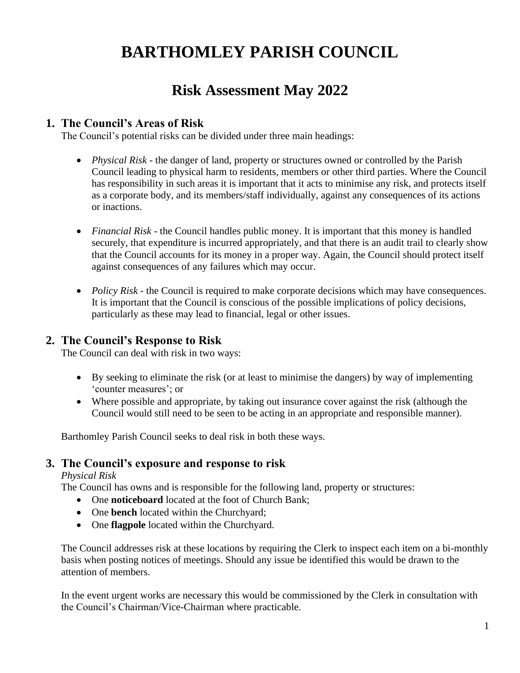# **BARTHOMLEY PARISH COUNCIL**

# **Risk Assessment May 2022**

#### **1. The Council's Areas of Risk**

The Council's potential risks can be divided under three main headings:

- *Physical Risk* the danger of land, property or structures owned or controlled by the Parish Council leading to physical harm to residents, members or other third parties. Where the Council has responsibility in such areas it is important that it acts to minimise any risk, and protects itself as a corporate body, and its members/staff individually, against any consequences of its actions or inactions.
- *Financial Risk* the Council handles public money. It is important that this money is handled securely, that expenditure is incurred appropriately, and that there is an audit trail to clearly show that the Council accounts for its money in a proper way. Again, the Council should protect itself against consequences of any failures which may occur.
- *Policy Risk* the Council is required to make corporate decisions which may have consequences. It is important that the Council is conscious of the possible implications of policy decisions, particularly as these may lead to financial, legal or other issues.

## **2. The Council's Response to Risk**

The Council can deal with risk in two ways:

- By seeking to eliminate the risk (or at least to minimise the dangers) by way of implementing 'counter measures'; or
- Where possible and appropriate, by taking out insurance cover against the risk (although the Council would still need to be seen to be acting in an appropriate and responsible manner).

Barthomley Parish Council seeks to deal risk in both these ways.

#### **3. The Council's exposure and response to risk**

*Physical Risk*

The Council has owns and is responsible for the following land, property or structures:

- One **noticeboard** located at the foot of Church Bank;
- One **bench** located within the Churchyard;
- One **flagpole** located within the Churchyard.

The Council addresses risk at these locations by requiring the Clerk to inspect each item on a bi-monthly basis when posting notices of meetings. Should any issue be identified this would be drawn to the attention of members.

In the event urgent works are necessary this would be commissioned by the Clerk in consultation with the Council's Chairman/Vice-Chairman where practicable.